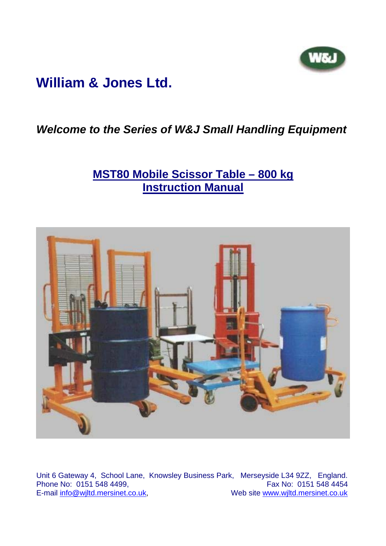

# **William & Jones Ltd.**

### *Welcome to the Series of W&J Small Handling Equipment*

## **MST80 Mobile Scissor Table – 800 kg Instruction Manual**



Unit 6 Gateway 4, School Lane, Knowsley Business Park, Merseyside L34 9ZZ, England. Phone No: 0151 548 4499. E-mail info@wjltd.mersinet.co.uk, Web site www.wjltd.mersinet.co.uk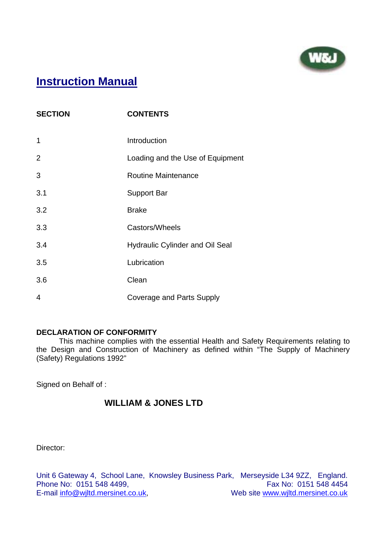

## **Instruction Manual**

| <b>SECTION</b> | <b>CONTENTS</b>                        |
|----------------|----------------------------------------|
| 1              | Introduction                           |
| 2              | Loading and the Use of Equipment       |
| 3              | <b>Routine Maintenance</b>             |
| 3.1            | <b>Support Bar</b>                     |
| 3.2            | <b>Brake</b>                           |
| 3.3            | Castors/Wheels                         |
| 3.4            | <b>Hydraulic Cylinder and Oil Seal</b> |
| 3.5            | Lubrication                            |
| 3.6            | Clean                                  |
| 4              | Coverage and Parts Supply              |

#### **DECLARATION OF CONFORMITY**

 This machine complies with the essential Health and Safety Requirements relating to the Design and Construction of Machinery as defined within "The Supply of Machinery (Safety) Regulations 1992"

Signed on Behalf of :

### **WILLIAM & JONES LTD**

Director:

Unit 6 Gateway 4, School Lane, Knowsley Business Park, Merseyside L34 9ZZ, England. Phone No: 0151 548 4499, E-mail info@wjltd.mersinet.co.uk, Web site www.wjltd.mersinet.co.uk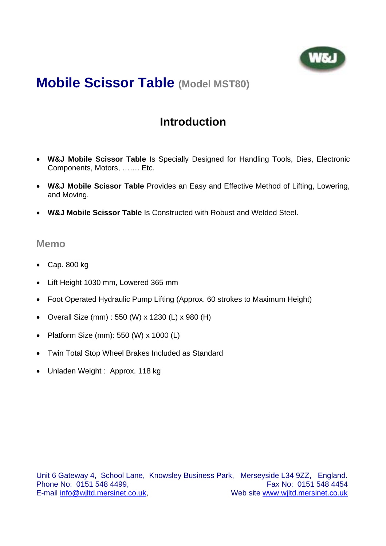

### **Introduction**

- **W&J Mobile Scissor Table** Is Specially Designed for Handling Tools, Dies, Electronic Components, Motors, ……. Etc.
- **W&J Mobile Scissor Table** Provides an Easy and Effective Method of Lifting, Lowering, and Moving.
- **W&J Mobile Scissor Table** Is Constructed with Robust and Welded Steel.

#### **Memo**

- Cap. 800 kg
- Lift Height 1030 mm, Lowered 365 mm
- Foot Operated Hydraulic Pump Lifting (Approx. 60 strokes to Maximum Height)
- Overall Size (mm) : 550 (W) x 1230 (L) x 980 (H)
- Platform Size (mm): 550 (W) x 1000 (L)
- Twin Total Stop Wheel Brakes Included as Standard
- Unladen Weight : Approx. 118 kg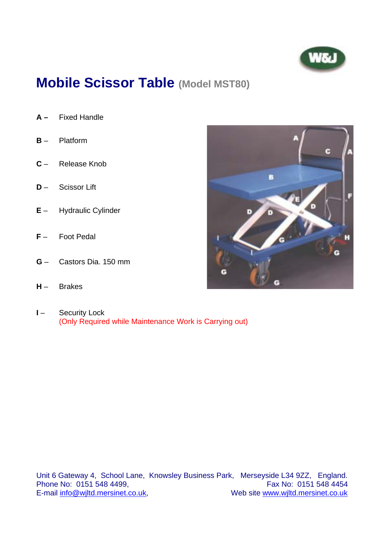

- **A** Fixed Handle
- **B** Platform
- **C** Release Knob
- **D**  Scissor Lift
- **E** Hydraulic Cylinder
- **F** Foot Pedal
- **G** Castors Dia. 150 mm
- **H** Brakes
- **I** Security Lock (Only Required while Maintenance Work is Carrying out)



Unit 6 Gateway 4, School Lane, Knowsley Business Park, Merseyside L34 9ZZ, England. Phone No: 0151 548 4499, **Fax No: 0151 548 4454** E-mail info@wjltd.mersinet.co.uk, Web site www.wjltd.mersinet.co.uk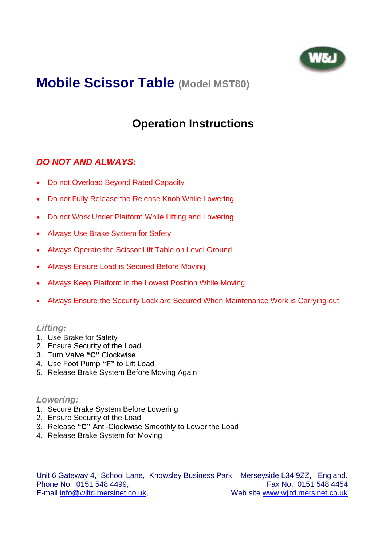

## **Operation Instructions**

### *DO NOT AND ALWAYS:*

- Do not Overload Beyond Rated Capacity
- Do not Fully Release the Release Knob While Lowering
- Do not Work Under Platform While Lifting and Lowering
- Always Use Brake System for Safety
- Always Operate the Scissor Lift Table on Level Ground
- Always Ensure Load is Secured Before Moving
- Always Keep Platform in the Lowest Position While Moving
- Always Ensure the Security Lock are Secured When Maintenance Work is Carrying out

#### *Lifting:*

- 1. Use Brake for Safety
- 2. Ensure Security of the Load
- 3. Turn Valve **"C"** Clockwise
- 4. Use Foot Pump **"F"** to Lift Load
- 5. Release Brake System Before Moving Again

#### *Lowering:*

- 1. Secure Brake System Before Lowering
- 2. Ensure Security of the Load
- 3. Release **"C"** Anti-Clockwise Smoothly to Lower the Load
- 4. Release Brake System for Moving

Unit 6 Gateway 4, School Lane, Knowsley Business Park, Merseyside L34 9ZZ, England. Phone No: 0151 548 4499, **Fax No: 0151 548 4454** E-mail info@wiltd.mersinet.co.uk, Web site www.wiltd.mersinet.co.uk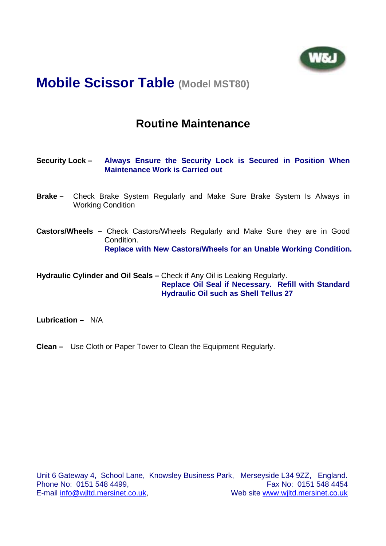

### **Routine Maintenance**

- **Security Lock – Always Ensure the Security Lock is Secured in Position When Maintenance Work is Carried out**
- **Brake –** Check Brake System Regularly and Make Sure Brake System Is Always in Working Condition
- **Castors/Wheels** Check Castors/Wheels Regularly and Make Sure they are in Good Condition. **Replace with New Castors/Wheels for an Unable Working Condition.**

**Hydraulic Cylinder and Oil Seals –** Check if Any Oil is Leaking Regularly. **Replace Oil Seal if Necessary. Refill with Standard Hydraulic Oil such as Shell Tellus 27** 

**Lubrication –** N/A

**Clean –** Use Cloth or Paper Tower to Clean the Equipment Regularly.

Unit 6 Gateway 4, School Lane, Knowsley Business Park, Merseyside L34 9ZZ, England. Phone No: 0151 548 4499. E-mail info@wiltd.mersinet.co.uk, Web site www.wiltd.mersinet.co.uk